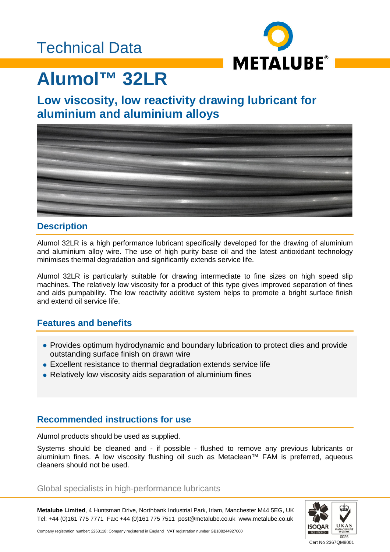### Technical Data



# **Alumol™ 32LR**

### **Low viscosity, low reactivity drawing lubricant for aluminium and aluminium alloys**



### **Description**

Alumol 32LR is a high performance lubricant specifically developed for the drawing of aluminium and aluminium alloy wire. The use of high purity base oil and the latest antioxidant technology minimises thermal degradation and significantly extends service life.

Alumol 32LR is particularly suitable for drawing intermediate to fine sizes on high speed slip machines. The relatively low viscosity for a product of this type gives improved separation of fines and aids pumpability. The low reactivity additive system helps to promote a bright surface finish and extend oil service life.

### **Features and benefits**

- Provides optimum hydrodynamic and boundary lubrication to protect dies and provide outstanding surface finish on drawn wire
- Excellent resistance to thermal degradation extends service life
- Relatively low viscosity aids separation of aluminium fines

### **Recommended instructions for use**

Alumol products should be used as supplied.

Systems should be cleaned and - if possible - flushed to remove any previous lubricants or aluminium fines. A low viscosity flushing oil such as Metaclean™ FAM is preferred, aqueous cleaners should not be used.

#### Global specialists in high-performance lubricants

**Metalube Limited**, 4 Huntsman Drive, Northbank Industrial Park, Irlam, Manchester M44 5EG, UK Tel: +44 (0)161 775 7771 Fax: +44 (0)161 775 7511 post@metalube.co.uk www.metalube.co.uk



Company registration number: 2263118; Company registered in England VAT registration number GB108244927000